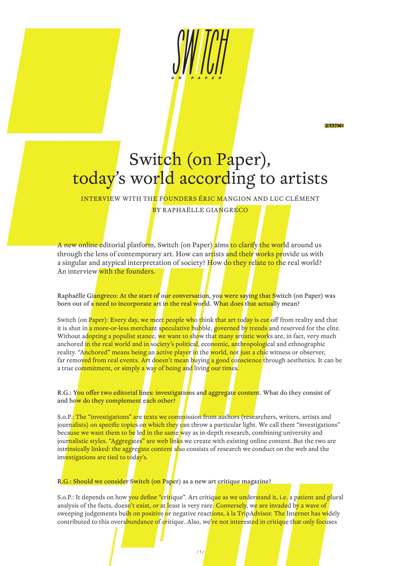**FRANCE** 

# Switch (on Paper), today's world according to artists

INTERVIEW WITH THE FOUNDERS ÉRIC MANGION AND LUC CLÉMENT

BY RAPHAËLLE GIANGRECO

A new online editorial platform, Switch (on Paper) aims to clarify the world around us through the lens of contemporary art. How can artists and their works provide us with a singular and atypical interpretation of society? How do they relate to the real world? An interview with the founders.

Raphaëlle Giangreco: At the start of our conversation, you were saying that Switch (on Paper) was born out of a need to incorporate art in the real world. What does that actually mean?

Switch (on Paper): Every day, we meet people who think that art today is cut off from reality and that it is shut in a more-or-less merchant speculative bubble, governed by trends and reserved for the elite. Without adopting a populist stance, we want to show that many artistic works are, in fact, very much anchored in the real world and in society's political, economic, anthropological and ethnographic reality. "Anchored" means being an active player in the world, not just a chic witness or observer, far removed from real events. Art doesn't mean buying a good conscience through aesthetics. It can be a true commitment, or simply a way of being and living our times.

R.G.: You offer two editorial lines: investigations and aggregate content. What do they consist of and how do they complement each other?

S.o.P.: The "investigations" are texts we commission from authors (researchers, writers, artists and journalists) on specific topics on which they can throw a particular light. We call them "investigations" because we want them to be led in the same way as in-depth research, combining university and journalistic styles. "Aggregates" are web links we create with existing online content. But the two are intrinsically linked: the aggregate content also consists of research we conduct on the web and the investigations are tied to today's.

R.G.: Should we consider Switch (on Paper) as a new art critique magazine?

S.o.P.: It depends on how you define "critique". Art critique as we understand it, i.e. a patient and plural analysis of the facts, doesn't exist, or at least is very rare. Conversely, we are invaded by a wave of sweeping judgements bui<mark>lt on positiv</mark>e or negative reactions, à la TripAdvisor. The Internet has widely contributed to this overabundance of critique. Also, we're not interested in critique that only focuses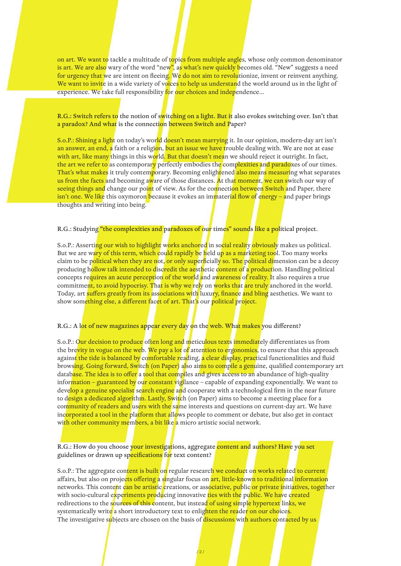on art. We want to tackle a multitude of topics from multiple angles, whose only common denominator is art. We are also wary of the word "new", as what's new quickly becomes old. "New" suggests a need for urgency that we are intent on fleeing. We do not aim to revolutionize, invent or reinvent anything. We want to invite in a wide variety of voices to help us understand the world around us in the light of experience. We take full responsibility for our choices and independence...

R.G.: Switch refers to the notion of switching on a light. But it also evokes switching over. Isn't that a paradox? And what is the connection between Switch and Paper?

S.o.P.: Shining a light on today's world doesn't mean marrying it. In our opinion, modern-day art isn't an answer, an end, a faith or a religion, but an issue we have trouble dealing with. We are not at ease with art, like many things in this world. But that doesn't mean we should reject it outright. In fact, the art we refer to as contemporary perfectly embodies the complexities and paradoxes of our times. That's what makes it truly contemporary. Becoming enlightened also means measuring what separates us from the facts and becoming aware of those distances. At that moment, we can switch our way of seeing things and change our point of view. As for the connection between Switch and Paper, there isn't one. We like this oxymoron because it evokes an immaterial flow of energy – and paper brings thoughts and writing into being.

R.G.: Studying "the complexities and paradoxes of our times" sounds like a political project.

S.o.P.: Asserting our wish to highlight works anchored in social reality obviously makes us political. But we are wary of this term, which could rapidly be held up as a marketing tool. Too many works claim to be political when they are not, or only superficially so. The political dimension can be a decoy producing hollow talk intended to discredit the aesthetic content of a production. Handling political concepts requires an acute perception of the world and awareness of reality. It also requires a true commitment, to avoid hypocrisy. That is why we rely on works that are truly anchored in the world. Today, art suffers greatly from its associations with luxury, finance and bling aesthetics. We want to show something else, a different facet of art. That's our political project.

R.G.: A lot of new magazines appear every day on the web. What makes you different?

S.o.P.: Our decision to produce often long and meticulous texts immediately differentiates us from the brevity in vogue on the web. We pay a lot of attention to ergonomics, to ensure that this approach against the tide is balanced by comfortable reading, a clear display, practical functionalities and fluid browsing. Going forward, Switch (on Paper) also aims to compile a genuine, qualified contemporary art database. The idea is to offer a tool that compiles and gives access to an abundance of high-quality information – guaranteed by our constant vigilance – capable of expanding exponentially. We want to develop a genuine specialist search engine and cooperate with a technological firm in the near future to design a dedicated algorithm. Lastly, Switch (on Paper) aims to become a meeting place for a community of readers and users with the same interests and questions on current-day art. We have incorporated a tool in the platform that allows people to comment or debate, but also get in contact with other community members, a bit like a micro artistic social network.

R.G.: How do you choose your investigations, aggregate content and authors? Have you set guidelines or drawn up specifications for text content?

S.o.P.: The aggregate content is built on regular research we conduct on works related to current affairs, but also on projects offering a singular focus on art, little-known to traditional information networks. This content can be artistic creations, or associative, public or private initiatives, together with socio-cultural experiments producing innovative ties with the public. We have created redirections to the sources of this content, but instead of using simple hypertext links, we systematically write a short introductory text to enlighten the reader on our choices. The investigative subjects are chosen on the basis of discussions with authors contacted by us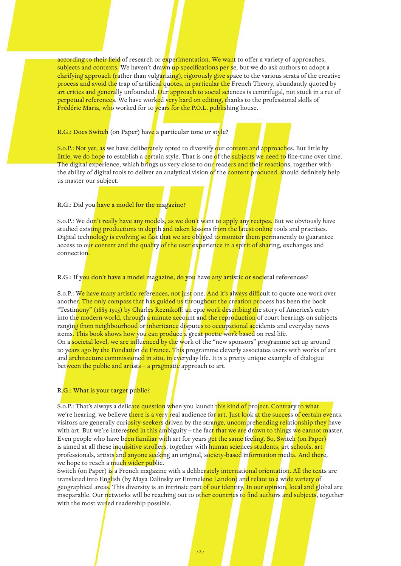according to their field of research or experimentation. We want to offer a variety of approaches, subjects and contexts. We haven't drawn up specifications per se, but we do ask authors to adopt a clarifying approach (rather than vulgarizing), rigorously give space to the various strata of the creative process and avoid the trap of artificial quotes, in particular the French Theory, abundantly quoted by art critics and generally unfounded. Our approach to social sciences is centrifugal, not stuck in a rut of perpetual references. We have worked very hard on editing, thanks to the professional skills of Frédéric Maria, who worked for 10 years for the P.O.L. publishing house.

## R.G.: Does Switch (on Paper) have a particular tone or style?

S.o.P.: Not yet, as we have deliberately opted to diversify our content and approaches. But little by little, we do hope to establish a certain style. That is one of the subjects we need to fine-tune over time. The digital experience, which brings us very close to our readers and their reactions, together with the ability of digital tools to deliver an analytical vision of the **content produced, s**hould definitely help us master our subject.

## R.G.: Did you have a model for the magazine?

S.o.P.: We don't really have any models, as we don't want to apply any recipes. But we obviously have studied existing productions in depth and taken lessons from the latest online tools and practises. Digital technology is evolving so fast that we are obliged to monitor them permanently to guarantee access to our content and the quality of the user experience in a spirit of sharing, exchanges and connection.

## R.G.: If you don't have a model magazine, do you have any artistic or societal references?

S.o.P.: We have many artistic references, not just one. And it's always difficult to quote one work over another. The only compass that has guided us throughout the creation process has been the book "Testimony" (1885-1915) by Charles Reznikoff: an epic work describing the story of America's entry into the modern world, through a minute account and the reproduction of court hearings on subjects ranging from neighbourhood or inheritance disputes to occupational accidents and everyday news items. This book shows how you can produce a great poetic work based on real life. On a societal level, we are influenced by the work of the "new sponsors" programme set up around 20 years ago by the Fondation de France. This programme cleverly associates users with works of art and architecture commissioned in situ, in everyday life. It is a pretty unique example of dialogue between the public and artists – a pragmatic approach to art.

## R.G.: What is your target public?

S.o.P.: That's always a delicate question when you launch this kind of project. Contrary to what we're hearing, we believe there is a very real audience for art. Just look at the success of certain events: visitors are generally curiosity-seekers driven by the strange, uncomprehending relationship they have with art. But we're intere<mark>sted in this am</mark>biguity – the fac<mark>t that we are</mark> drawn to things we cannot master. Even people who have been familiar with art for years get the same feeling. So, Switch (on Paper) is aimed at all these inquisitive strollers, together with human sciences students, art schools, art professionals, artists and anyone seeking an original, society-based information media. And there, we hope to reach a much wider public.

Switch (on Paper) is a French magazine with a deliberately international orientation. All the texts are translated into English (by Maya Dalinsky or Emmelene Landon) and relate to a wide variety of geographical areas. This diversity is an intrinsic part of our identity. In our opinion, local and global are inseparable. Our networks will be reaching out to other countries to find authors and subjects, together with the most varied readership possible.